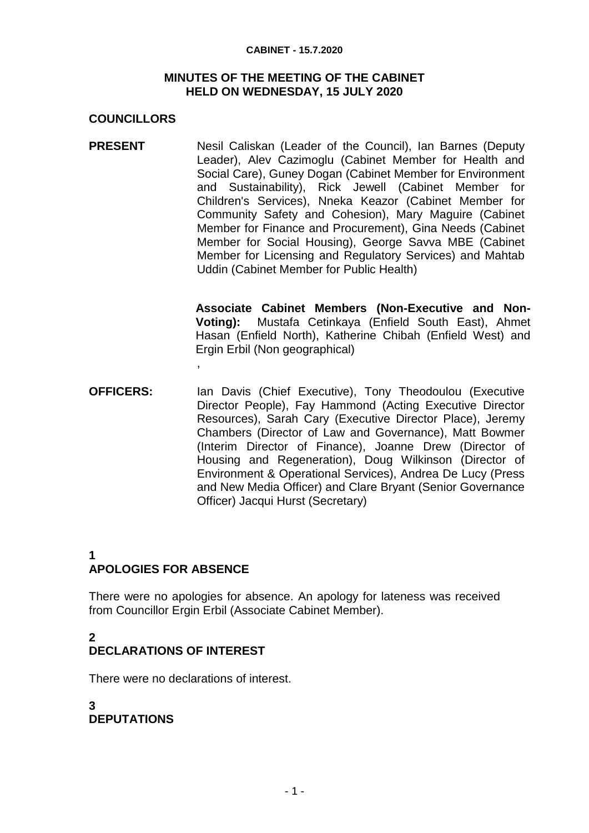#### **CABINET - 15.7.2020**

#### **MINUTES OF THE MEETING OF THE CABINET HELD ON WEDNESDAY, 15 JULY 2020**

## **COUNCILLORS**

**PRESENT** Nesil Caliskan (Leader of the Council), Ian Barnes (Deputy Leader), Alev Cazimoglu (Cabinet Member for Health and Social Care), Guney Dogan (Cabinet Member for Environment and Sustainability), Rick Jewell (Cabinet Member for Children's Services), Nneka Keazor (Cabinet Member for Community Safety and Cohesion), Mary Maguire (Cabinet Member for Finance and Procurement), Gina Needs (Cabinet Member for Social Housing), George Savva MBE (Cabinet Member for Licensing and Regulatory Services) and Mahtab Uddin (Cabinet Member for Public Health)

> **Associate Cabinet Members (Non-Executive and Non-Voting):** Mustafa Cetinkaya (Enfield South East), Ahmet Hasan (Enfield North), Katherine Chibah (Enfield West) and Ergin Erbil (Non geographical)

**OFFICERS:** Ian Davis (Chief Executive), Tony Theodoulou (Executive Director People), Fay Hammond (Acting Executive Director Resources), Sarah Cary (Executive Director Place), Jeremy Chambers (Director of Law and Governance), Matt Bowmer (Interim Director of Finance), Joanne Drew (Director of Housing and Regeneration), Doug Wilkinson (Director of Environment & Operational Services), Andrea De Lucy (Press and New Media Officer) and Clare Bryant (Senior Governance Officer) Jacqui Hurst (Secretary)

### **1 APOLOGIES FOR ABSENCE**

,

There were no apologies for absence. An apology for lateness was received from Councillor Ergin Erbil (Associate Cabinet Member).

#### **2 DECLARATIONS OF INTEREST**

There were no declarations of interest.

#### **3 DEPUTATIONS**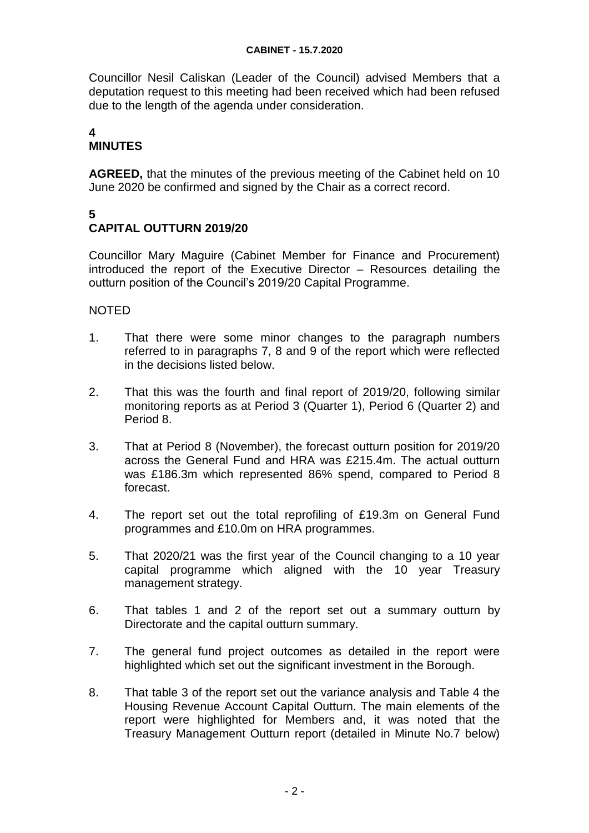Councillor Nesil Caliskan (Leader of the Council) advised Members that a deputation request to this meeting had been received which had been refused due to the length of the agenda under consideration.

#### **4 MINUTES**

**AGREED,** that the minutes of the previous meeting of the Cabinet held on 10 June 2020 be confirmed and signed by the Chair as a correct record.

# **5**

## **CAPITAL OUTTURN 2019/20**

Councillor Mary Maguire (Cabinet Member for Finance and Procurement) introduced the report of the Executive Director – Resources detailing the outturn position of the Council's 2019/20 Capital Programme.

- 1. That there were some minor changes to the paragraph numbers referred to in paragraphs 7, 8 and 9 of the report which were reflected in the decisions listed below.
- 2. That this was the fourth and final report of 2019/20, following similar monitoring reports as at Period 3 (Quarter 1), Period 6 (Quarter 2) and Period 8.
- 3. That at Period 8 (November), the forecast outturn position for 2019/20 across the General Fund and HRA was £215.4m. The actual outturn was £186.3m which represented 86% spend, compared to Period 8 forecast.
- 4. The report set out the total reprofiling of £19.3m on General Fund programmes and £10.0m on HRA programmes.
- 5. That 2020/21 was the first year of the Council changing to a 10 year capital programme which aligned with the 10 year Treasury management strategy.
- 6. That tables 1 and 2 of the report set out a summary outturn by Directorate and the capital outturn summary.
- 7. The general fund project outcomes as detailed in the report were highlighted which set out the significant investment in the Borough.
- 8. That table 3 of the report set out the variance analysis and Table 4 the Housing Revenue Account Capital Outturn. The main elements of the report were highlighted for Members and, it was noted that the Treasury Management Outturn report (detailed in Minute No.7 below)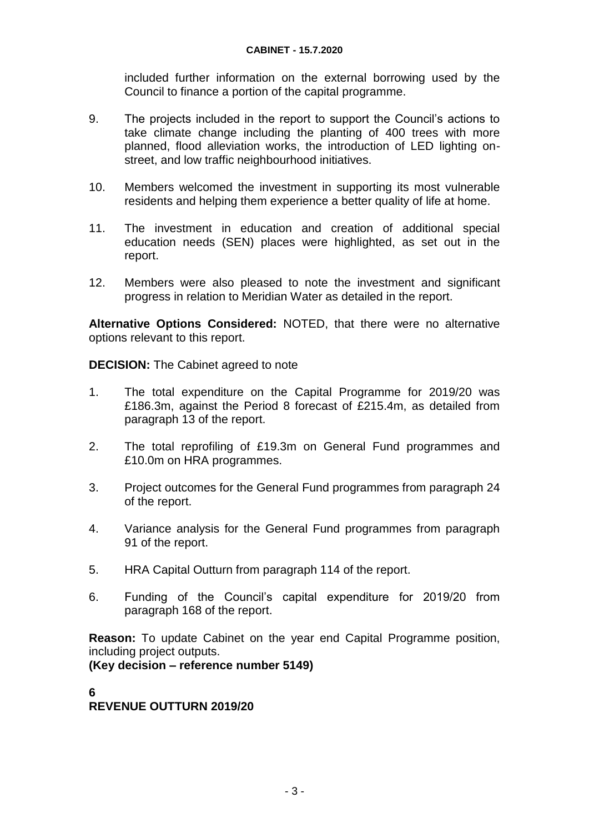included further information on the external borrowing used by the Council to finance a portion of the capital programme.

- 9. The projects included in the report to support the Council's actions to take climate change including the planting of 400 trees with more planned, flood alleviation works, the introduction of LED lighting onstreet, and low traffic neighbourhood initiatives.
- 10. Members welcomed the investment in supporting its most vulnerable residents and helping them experience a better quality of life at home.
- 11. The investment in education and creation of additional special education needs (SEN) places were highlighted, as set out in the report.
- 12. Members were also pleased to note the investment and significant progress in relation to Meridian Water as detailed in the report.

**Alternative Options Considered:** NOTED, that there were no alternative options relevant to this report.

**DECISION:** The Cabinet agreed to note

- 1. The total expenditure on the Capital Programme for 2019/20 was £186.3m, against the Period 8 forecast of £215.4m, as detailed from paragraph 13 of the report.
- 2. The total reprofiling of £19.3m on General Fund programmes and £10.0m on HRA programmes.
- 3. Project outcomes for the General Fund programmes from paragraph 24 of the report.
- 4. Variance analysis for the General Fund programmes from paragraph 91 of the report.
- 5. HRA Capital Outturn from paragraph 114 of the report.
- 6. Funding of the Council's capital expenditure for 2019/20 from paragraph 168 of the report.

**Reason:** To update Cabinet on the year end Capital Programme position, including project outputs.

**(Key decision – reference number 5149)**

### **6**

### **REVENUE OUTTURN 2019/20**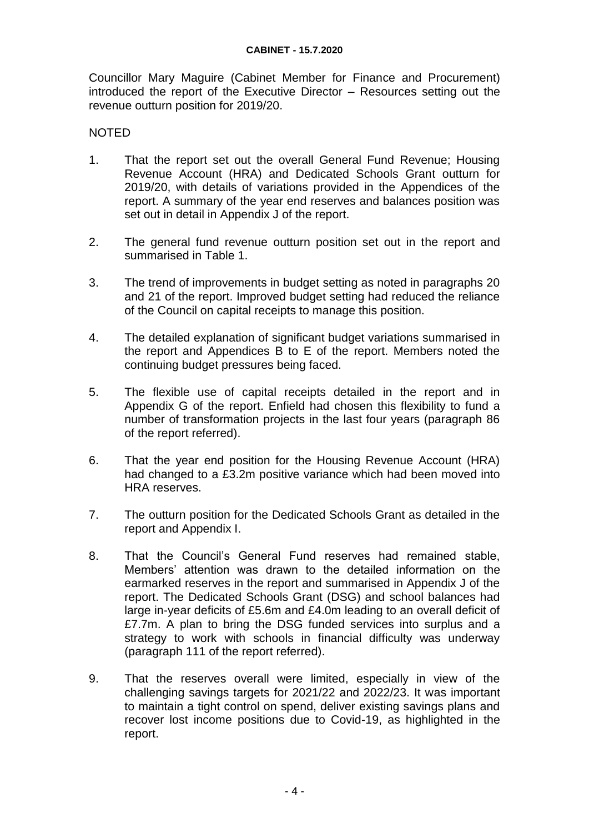Councillor Mary Maguire (Cabinet Member for Finance and Procurement) introduced the report of the Executive Director – Resources setting out the revenue outturn position for 2019/20.

- 1. That the report set out the overall General Fund Revenue; Housing Revenue Account (HRA) and Dedicated Schools Grant outturn for 2019/20, with details of variations provided in the Appendices of the report. A summary of the year end reserves and balances position was set out in detail in Appendix J of the report.
- 2. The general fund revenue outturn position set out in the report and summarised in Table 1.
- 3. The trend of improvements in budget setting as noted in paragraphs 20 and 21 of the report. Improved budget setting had reduced the reliance of the Council on capital receipts to manage this position.
- 4. The detailed explanation of significant budget variations summarised in the report and Appendices B to E of the report. Members noted the continuing budget pressures being faced.
- 5. The flexible use of capital receipts detailed in the report and in Appendix G of the report. Enfield had chosen this flexibility to fund a number of transformation projects in the last four years (paragraph 86 of the report referred).
- 6. That the year end position for the Housing Revenue Account (HRA) had changed to a £3.2m positive variance which had been moved into HRA reserves.
- 7. The outturn position for the Dedicated Schools Grant as detailed in the report and Appendix I.
- 8. That the Council's General Fund reserves had remained stable, Members' attention was drawn to the detailed information on the earmarked reserves in the report and summarised in Appendix J of the report. The Dedicated Schools Grant (DSG) and school balances had large in-year deficits of £5.6m and £4.0m leading to an overall deficit of £7.7m. A plan to bring the DSG funded services into surplus and a strategy to work with schools in financial difficulty was underway (paragraph 111 of the report referred).
- 9. That the reserves overall were limited, especially in view of the challenging savings targets for 2021/22 and 2022/23. It was important to maintain a tight control on spend, deliver existing savings plans and recover lost income positions due to Covid-19, as highlighted in the report.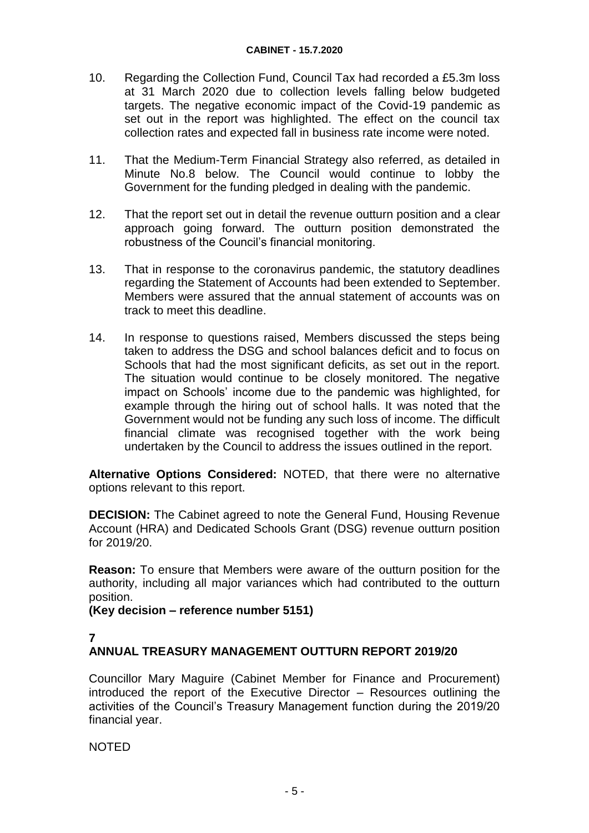- 10. Regarding the Collection Fund, Council Tax had recorded a £5.3m loss at 31 March 2020 due to collection levels falling below budgeted targets. The negative economic impact of the Covid-19 pandemic as set out in the report was highlighted. The effect on the council tax collection rates and expected fall in business rate income were noted.
- 11. That the Medium-Term Financial Strategy also referred, as detailed in Minute No.8 below. The Council would continue to lobby the Government for the funding pledged in dealing with the pandemic.
- 12. That the report set out in detail the revenue outturn position and a clear approach going forward. The outturn position demonstrated the robustness of the Council's financial monitoring.
- 13. That in response to the coronavirus pandemic, the statutory deadlines regarding the Statement of Accounts had been extended to September. Members were assured that the annual statement of accounts was on track to meet this deadline.
- 14. In response to questions raised, Members discussed the steps being taken to address the DSG and school balances deficit and to focus on Schools that had the most significant deficits, as set out in the report. The situation would continue to be closely monitored. The negative impact on Schools' income due to the pandemic was highlighted, for example through the hiring out of school halls. It was noted that the Government would not be funding any such loss of income. The difficult financial climate was recognised together with the work being undertaken by the Council to address the issues outlined in the report.

**Alternative Options Considered:** NOTED, that there were no alternative options relevant to this report.

**DECISION:** The Cabinet agreed to note the General Fund, Housing Revenue Account (HRA) and Dedicated Schools Grant (DSG) revenue outturn position for 2019/20.

**Reason:** To ensure that Members were aware of the outturn position for the authority, including all major variances which had contributed to the outturn position.

**(Key decision – reference number 5151)**

**7**

### **ANNUAL TREASURY MANAGEMENT OUTTURN REPORT 2019/20**

Councillor Mary Maguire (Cabinet Member for Finance and Procurement) introduced the report of the Executive Director – Resources outlining the activities of the Council's Treasury Management function during the 2019/20 financial year.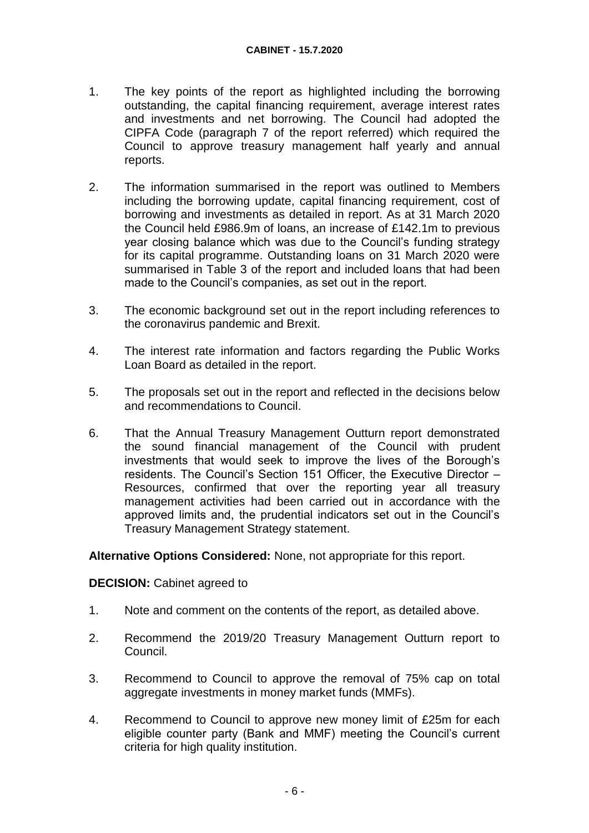- 1. The key points of the report as highlighted including the borrowing outstanding, the capital financing requirement, average interest rates and investments and net borrowing. The Council had adopted the CIPFA Code (paragraph 7 of the report referred) which required the Council to approve treasury management half yearly and annual reports.
- 2. The information summarised in the report was outlined to Members including the borrowing update, capital financing requirement, cost of borrowing and investments as detailed in report. As at 31 March 2020 the Council held £986.9m of loans, an increase of £142.1m to previous year closing balance which was due to the Council's funding strategy for its capital programme. Outstanding loans on 31 March 2020 were summarised in Table 3 of the report and included loans that had been made to the Council's companies, as set out in the report.
- 3. The economic background set out in the report including references to the coronavirus pandemic and Brexit.
- 4. The interest rate information and factors regarding the Public Works Loan Board as detailed in the report.
- 5. The proposals set out in the report and reflected in the decisions below and recommendations to Council.
- 6. That the Annual Treasury Management Outturn report demonstrated the sound financial management of the Council with prudent investments that would seek to improve the lives of the Borough's residents. The Council's Section 151 Officer, the Executive Director – Resources, confirmed that over the reporting year all treasury management activities had been carried out in accordance with the approved limits and, the prudential indicators set out in the Council's Treasury Management Strategy statement.

**Alternative Options Considered:** None, not appropriate for this report.

#### **DECISION:** Cabinet agreed to

- 1. Note and comment on the contents of the report, as detailed above.
- 2. Recommend the 2019/20 Treasury Management Outturn report to Council.
- 3. Recommend to Council to approve the removal of 75% cap on total aggregate investments in money market funds (MMFs).
- 4. Recommend to Council to approve new money limit of £25m for each eligible counter party (Bank and MMF) meeting the Council's current criteria for high quality institution.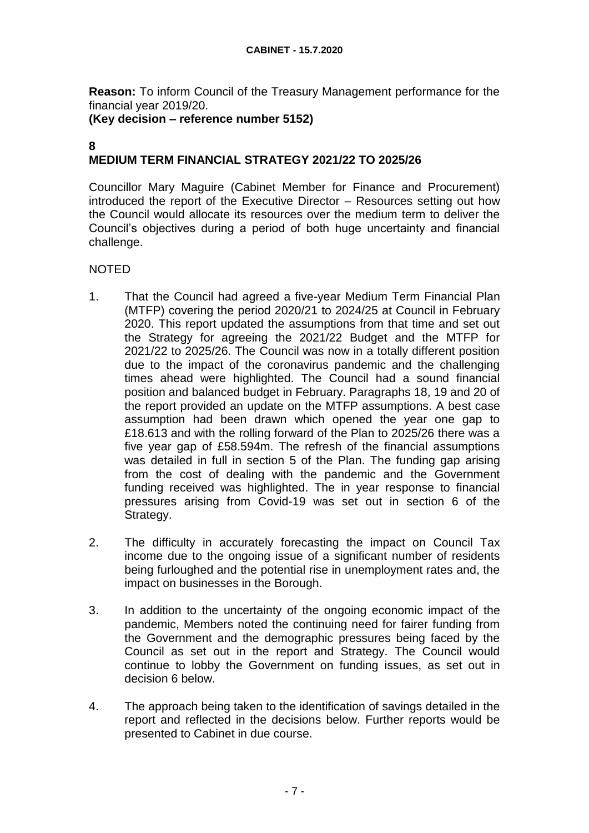**Reason:** To inform Council of the Treasury Management performance for the financial year 2019/20.

**(Key decision – reference number 5152)**

#### **8 MEDIUM TERM FINANCIAL STRATEGY 2021/22 TO 2025/26**

Councillor Mary Maguire (Cabinet Member for Finance and Procurement) introduced the report of the Executive Director – Resources setting out how the Council would allocate its resources over the medium term to deliver the Council's objectives during a period of both huge uncertainty and financial challenge.

- 1. That the Council had agreed a five-year Medium Term Financial Plan (MTFP) covering the period 2020/21 to 2024/25 at Council in February 2020. This report updated the assumptions from that time and set out the Strategy for agreeing the 2021/22 Budget and the MTFP for 2021/22 to 2025/26. The Council was now in a totally different position due to the impact of the coronavirus pandemic and the challenging times ahead were highlighted. The Council had a sound financial position and balanced budget in February. Paragraphs 18, 19 and 20 of the report provided an update on the MTFP assumptions. A best case assumption had been drawn which opened the year one gap to £18.613 and with the rolling forward of the Plan to 2025/26 there was a five year gap of £58.594m. The refresh of the financial assumptions was detailed in full in section 5 of the Plan. The funding gap arising from the cost of dealing with the pandemic and the Government funding received was highlighted. The in year response to financial pressures arising from Covid-19 was set out in section 6 of the Strategy.
- 2. The difficulty in accurately forecasting the impact on Council Tax income due to the ongoing issue of a significant number of residents being furloughed and the potential rise in unemployment rates and, the impact on businesses in the Borough.
- 3. In addition to the uncertainty of the ongoing economic impact of the pandemic, Members noted the continuing need for fairer funding from the Government and the demographic pressures being faced by the Council as set out in the report and Strategy. The Council would continue to lobby the Government on funding issues, as set out in decision 6 below.
- 4. The approach being taken to the identification of savings detailed in the report and reflected in the decisions below. Further reports would be presented to Cabinet in due course.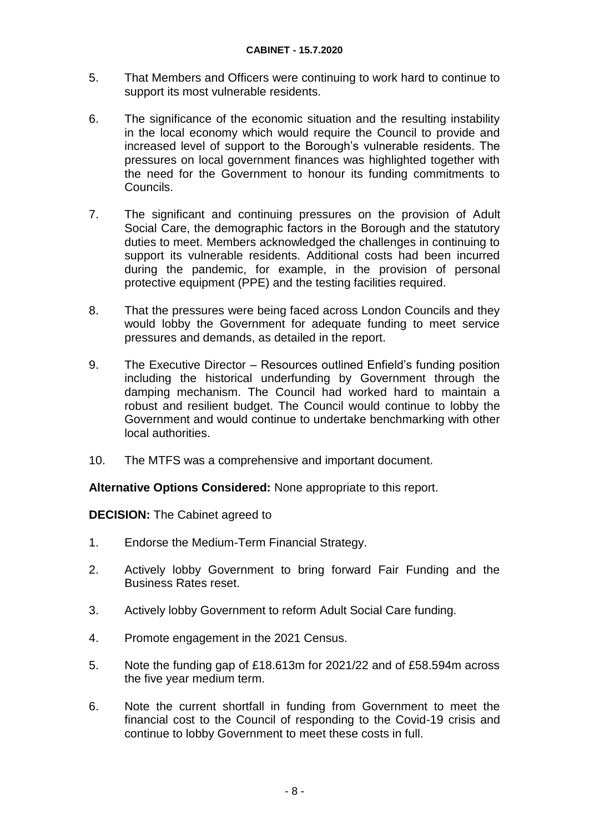- 5. That Members and Officers were continuing to work hard to continue to support its most vulnerable residents.
- 6. The significance of the economic situation and the resulting instability in the local economy which would require the Council to provide and increased level of support to the Borough's vulnerable residents. The pressures on local government finances was highlighted together with the need for the Government to honour its funding commitments to Councils.
- 7. The significant and continuing pressures on the provision of Adult Social Care, the demographic factors in the Borough and the statutory duties to meet. Members acknowledged the challenges in continuing to support its vulnerable residents. Additional costs had been incurred during the pandemic, for example, in the provision of personal protective equipment (PPE) and the testing facilities required.
- 8. That the pressures were being faced across London Councils and they would lobby the Government for adequate funding to meet service pressures and demands, as detailed in the report.
- 9. The Executive Director Resources outlined Enfield's funding position including the historical underfunding by Government through the damping mechanism. The Council had worked hard to maintain a robust and resilient budget. The Council would continue to lobby the Government and would continue to undertake benchmarking with other local authorities.
- 10. The MTFS was a comprehensive and important document.

**Alternative Options Considered:** None appropriate to this report.

**DECISION:** The Cabinet agreed to

- 1. Endorse the Medium-Term Financial Strategy.
- 2. Actively lobby Government to bring forward Fair Funding and the Business Rates reset.
- 3. Actively lobby Government to reform Adult Social Care funding.
- 4. Promote engagement in the 2021 Census.
- 5. Note the funding gap of £18.613m for 2021/22 and of £58.594m across the five year medium term.
- 6. Note the current shortfall in funding from Government to meet the financial cost to the Council of responding to the Covid-19 crisis and continue to lobby Government to meet these costs in full.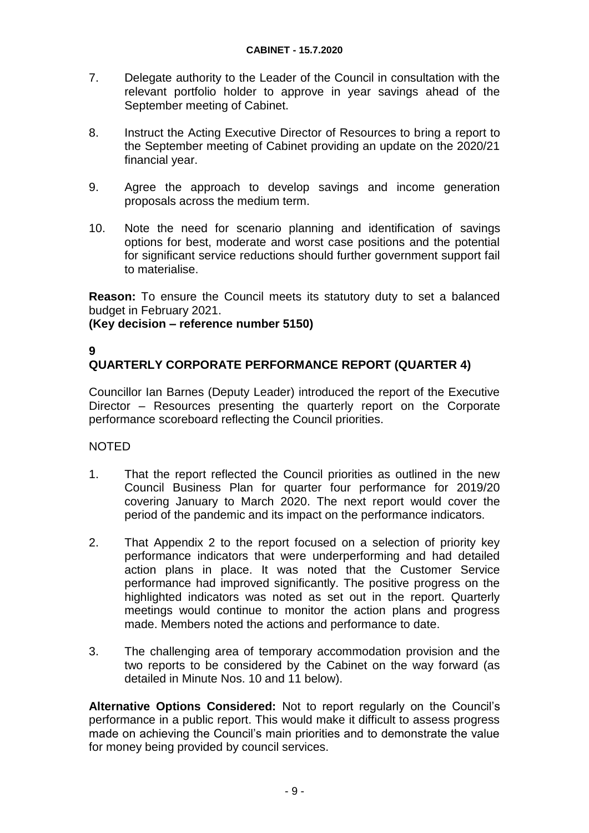- 7. Delegate authority to the Leader of the Council in consultation with the relevant portfolio holder to approve in year savings ahead of the September meeting of Cabinet.
- 8. Instruct the Acting Executive Director of Resources to bring a report to the September meeting of Cabinet providing an update on the 2020/21 financial year.
- 9. Agree the approach to develop savings and income generation proposals across the medium term.
- 10. Note the need for scenario planning and identification of savings options for best, moderate and worst case positions and the potential for significant service reductions should further government support fail to materialise.

**Reason:** To ensure the Council meets its statutory duty to set a balanced budget in February 2021.

#### **(Key decision – reference number 5150)**

#### **9 QUARTERLY CORPORATE PERFORMANCE REPORT (QUARTER 4)**

Councillor Ian Barnes (Deputy Leader) introduced the report of the Executive Director – Resources presenting the quarterly report on the Corporate performance scoreboard reflecting the Council priorities.

#### NOTED

- 1. That the report reflected the Council priorities as outlined in the new Council Business Plan for quarter four performance for 2019/20 covering January to March 2020. The next report would cover the period of the pandemic and its impact on the performance indicators.
- 2. That Appendix 2 to the report focused on a selection of priority key performance indicators that were underperforming and had detailed action plans in place. It was noted that the Customer Service performance had improved significantly. The positive progress on the highlighted indicators was noted as set out in the report. Quarterly meetings would continue to monitor the action plans and progress made. Members noted the actions and performance to date.
- 3. The challenging area of temporary accommodation provision and the two reports to be considered by the Cabinet on the way forward (as detailed in Minute Nos. 10 and 11 below).

**Alternative Options Considered:** Not to report regularly on the Council's performance in a public report. This would make it difficult to assess progress made on achieving the Council's main priorities and to demonstrate the value for money being provided by council services.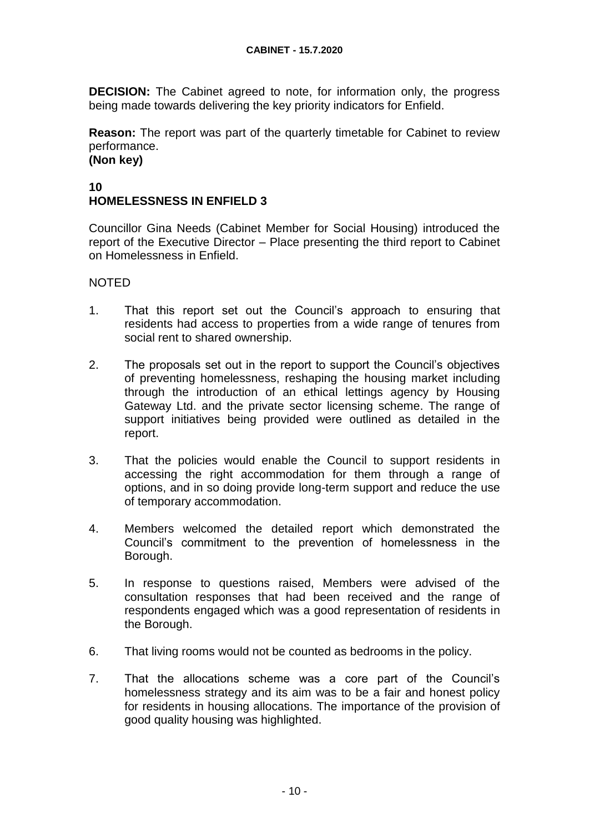**DECISION:** The Cabinet agreed to note, for information only, the progress being made towards delivering the key priority indicators for Enfield.

**Reason:** The report was part of the quarterly timetable for Cabinet to review performance. **(Non key)**

## **10 HOMELESSNESS IN ENFIELD 3**

Councillor Gina Needs (Cabinet Member for Social Housing) introduced the report of the Executive Director – Place presenting the third report to Cabinet on Homelessness in Enfield.

- 1. That this report set out the Council's approach to ensuring that residents had access to properties from a wide range of tenures from social rent to shared ownership.
- 2. The proposals set out in the report to support the Council's objectives of preventing homelessness, reshaping the housing market including through the introduction of an ethical lettings agency by Housing Gateway Ltd. and the private sector licensing scheme. The range of support initiatives being provided were outlined as detailed in the report.
- 3. That the policies would enable the Council to support residents in accessing the right accommodation for them through a range of options, and in so doing provide long-term support and reduce the use of temporary accommodation.
- 4. Members welcomed the detailed report which demonstrated the Council's commitment to the prevention of homelessness in the Borough.
- 5. In response to questions raised, Members were advised of the consultation responses that had been received and the range of respondents engaged which was a good representation of residents in the Borough.
- 6. That living rooms would not be counted as bedrooms in the policy.
- 7. That the allocations scheme was a core part of the Council's homelessness strategy and its aim was to be a fair and honest policy for residents in housing allocations. The importance of the provision of good quality housing was highlighted.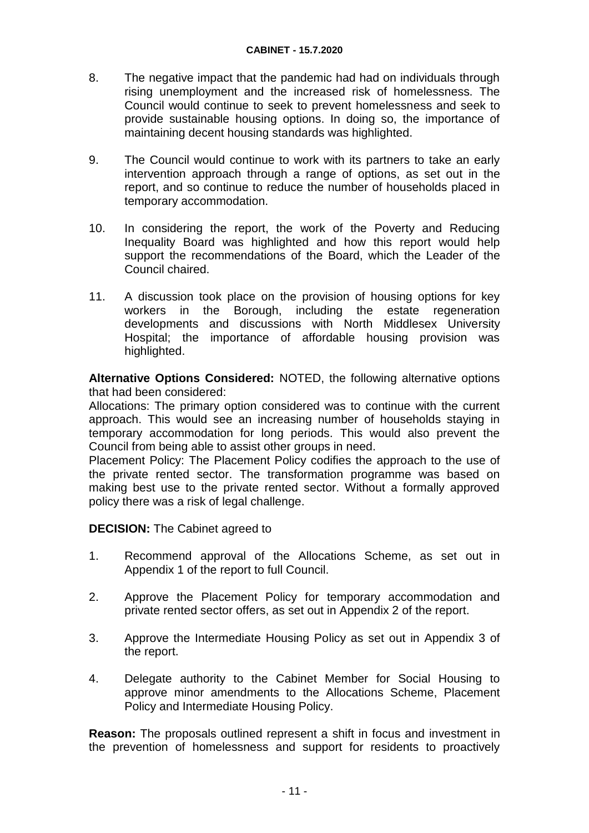- 8. The negative impact that the pandemic had had on individuals through rising unemployment and the increased risk of homelessness. The Council would continue to seek to prevent homelessness and seek to provide sustainable housing options. In doing so, the importance of maintaining decent housing standards was highlighted.
- 9. The Council would continue to work with its partners to take an early intervention approach through a range of options, as set out in the report, and so continue to reduce the number of households placed in temporary accommodation.
- 10. In considering the report, the work of the Poverty and Reducing Inequality Board was highlighted and how this report would help support the recommendations of the Board, which the Leader of the Council chaired.
- 11. A discussion took place on the provision of housing options for key workers in the Borough, including the estate regeneration developments and discussions with North Middlesex University Hospital; the importance of affordable housing provision was highlighted.

**Alternative Options Considered:** NOTED, the following alternative options that had been considered:

Allocations: The primary option considered was to continue with the current approach. This would see an increasing number of households staying in temporary accommodation for long periods. This would also prevent the Council from being able to assist other groups in need.

Placement Policy: The Placement Policy codifies the approach to the use of the private rented sector. The transformation programme was based on making best use to the private rented sector. Without a formally approved policy there was a risk of legal challenge.

**DECISION:** The Cabinet agreed to

- 1. Recommend approval of the Allocations Scheme, as set out in Appendix 1 of the report to full Council.
- 2. Approve the Placement Policy for temporary accommodation and private rented sector offers, as set out in Appendix 2 of the report.
- 3. Approve the Intermediate Housing Policy as set out in Appendix 3 of the report.
- 4. Delegate authority to the Cabinet Member for Social Housing to approve minor amendments to the Allocations Scheme, Placement Policy and Intermediate Housing Policy.

**Reason:** The proposals outlined represent a shift in focus and investment in the prevention of homelessness and support for residents to proactively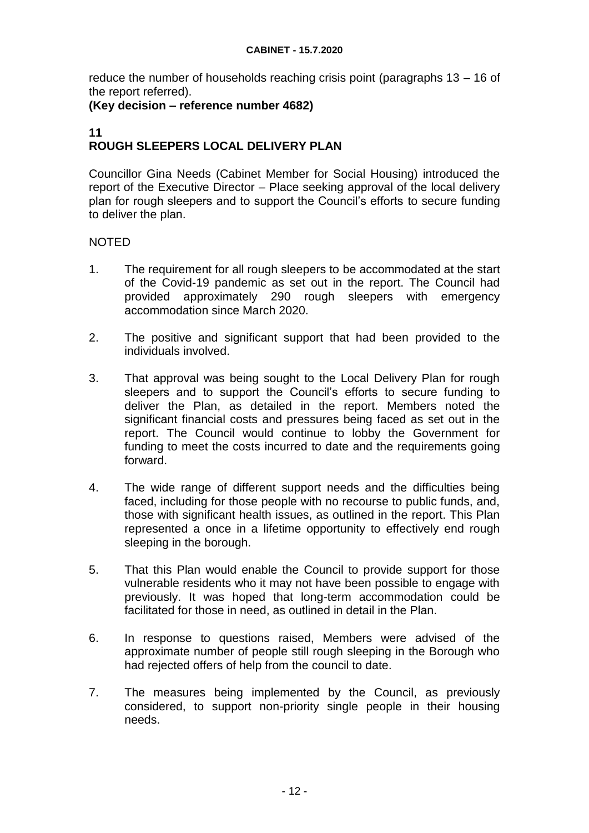reduce the number of households reaching crisis point (paragraphs 13 – 16 of the report referred).

#### **(Key decision – reference number 4682)**

#### **11 ROUGH SLEEPERS LOCAL DELIVERY PLAN**

Councillor Gina Needs (Cabinet Member for Social Housing) introduced the report of the Executive Director – Place seeking approval of the local delivery plan for rough sleepers and to support the Council's efforts to secure funding to deliver the plan.

- 1. The requirement for all rough sleepers to be accommodated at the start of the Covid-19 pandemic as set out in the report. The Council had provided approximately 290 rough sleepers with emergency accommodation since March 2020.
- 2. The positive and significant support that had been provided to the individuals involved.
- 3. That approval was being sought to the Local Delivery Plan for rough sleepers and to support the Council's efforts to secure funding to deliver the Plan, as detailed in the report. Members noted the significant financial costs and pressures being faced as set out in the report. The Council would continue to lobby the Government for funding to meet the costs incurred to date and the requirements going forward.
- 4. The wide range of different support needs and the difficulties being faced, including for those people with no recourse to public funds, and, those with significant health issues, as outlined in the report. This Plan represented a once in a lifetime opportunity to effectively end rough sleeping in the borough.
- 5. That this Plan would enable the Council to provide support for those vulnerable residents who it may not have been possible to engage with previously. It was hoped that long-term accommodation could be facilitated for those in need, as outlined in detail in the Plan.
- 6. In response to questions raised, Members were advised of the approximate number of people still rough sleeping in the Borough who had rejected offers of help from the council to date.
- 7. The measures being implemented by the Council, as previously considered, to support non-priority single people in their housing needs.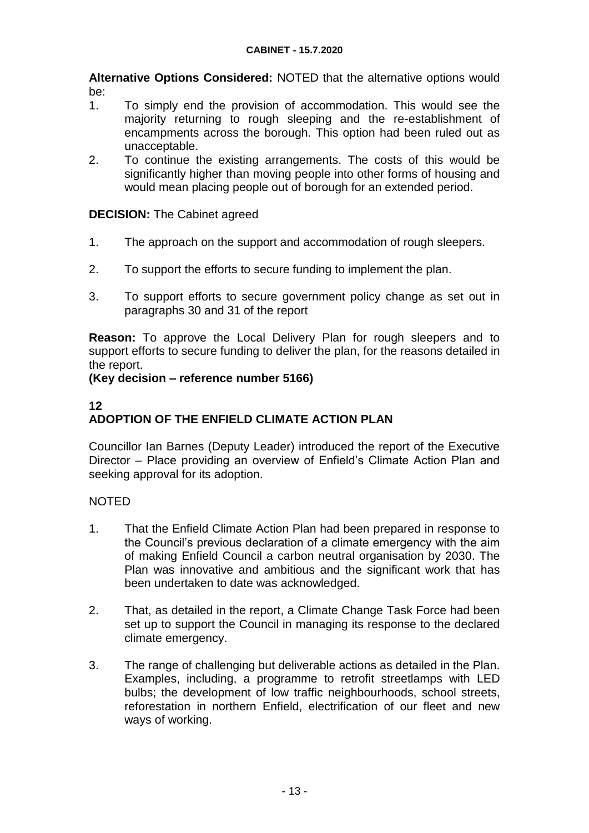**Alternative Options Considered:** NOTED that the alternative options would be:

- 1. To simply end the provision of accommodation. This would see the majority returning to rough sleeping and the re-establishment of encampments across the borough. This option had been ruled out as unacceptable.
- 2. To continue the existing arrangements. The costs of this would be significantly higher than moving people into other forms of housing and would mean placing people out of borough for an extended period.

#### **DECISION:** The Cabinet agreed

- 1. The approach on the support and accommodation of rough sleepers.
- 2. To support the efforts to secure funding to implement the plan.
- 3. To support efforts to secure government policy change as set out in paragraphs 30 and 31 of the report

**Reason:** To approve the Local Delivery Plan for rough sleepers and to support efforts to secure funding to deliver the plan, for the reasons detailed in the report.

#### **(Key decision – reference number 5166)**

### **12 ADOPTION OF THE ENFIELD CLIMATE ACTION PLAN**

Councillor Ian Barnes (Deputy Leader) introduced the report of the Executive Director – Place providing an overview of Enfield's Climate Action Plan and seeking approval for its adoption.

- 1. That the Enfield Climate Action Plan had been prepared in response to the Council's previous declaration of a climate emergency with the aim of making Enfield Council a carbon neutral organisation by 2030. The Plan was innovative and ambitious and the significant work that has been undertaken to date was acknowledged.
- 2. That, as detailed in the report, a Climate Change Task Force had been set up to support the Council in managing its response to the declared climate emergency.
- 3. The range of challenging but deliverable actions as detailed in the Plan. Examples, including, a programme to retrofit streetlamps with LED bulbs; the development of low traffic neighbourhoods, school streets, reforestation in northern Enfield, electrification of our fleet and new ways of working.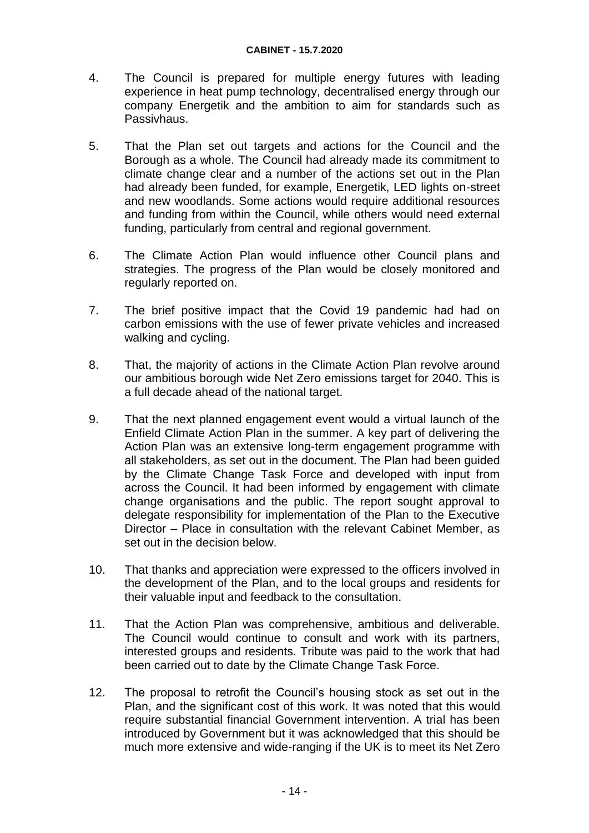- 4. The Council is prepared for multiple energy futures with leading experience in heat pump technology, decentralised energy through our company Energetik and the ambition to aim for standards such as Passivhaus.
- 5. That the Plan set out targets and actions for the Council and the Borough as a whole. The Council had already made its commitment to climate change clear and a number of the actions set out in the Plan had already been funded, for example, Energetik, LED lights on-street and new woodlands. Some actions would require additional resources and funding from within the Council, while others would need external funding, particularly from central and regional government.
- 6. The Climate Action Plan would influence other Council plans and strategies. The progress of the Plan would be closely monitored and regularly reported on.
- 7. The brief positive impact that the Covid 19 pandemic had had on carbon emissions with the use of fewer private vehicles and increased walking and cycling.
- 8. That, the majority of actions in the Climate Action Plan revolve around our ambitious borough wide Net Zero emissions target for 2040. This is a full decade ahead of the national target.
- 9. That the next planned engagement event would a virtual launch of the Enfield Climate Action Plan in the summer. A key part of delivering the Action Plan was an extensive long-term engagement programme with all stakeholders, as set out in the document. The Plan had been guided by the Climate Change Task Force and developed with input from across the Council. It had been informed by engagement with climate change organisations and the public. The report sought approval to delegate responsibility for implementation of the Plan to the Executive Director – Place in consultation with the relevant Cabinet Member, as set out in the decision below.
- 10. That thanks and appreciation were expressed to the officers involved in the development of the Plan, and to the local groups and residents for their valuable input and feedback to the consultation.
- 11. That the Action Plan was comprehensive, ambitious and deliverable. The Council would continue to consult and work with its partners, interested groups and residents. Tribute was paid to the work that had been carried out to date by the Climate Change Task Force.
- 12. The proposal to retrofit the Council's housing stock as set out in the Plan, and the significant cost of this work. It was noted that this would require substantial financial Government intervention. A trial has been introduced by Government but it was acknowledged that this should be much more extensive and wide-ranging if the UK is to meet its Net Zero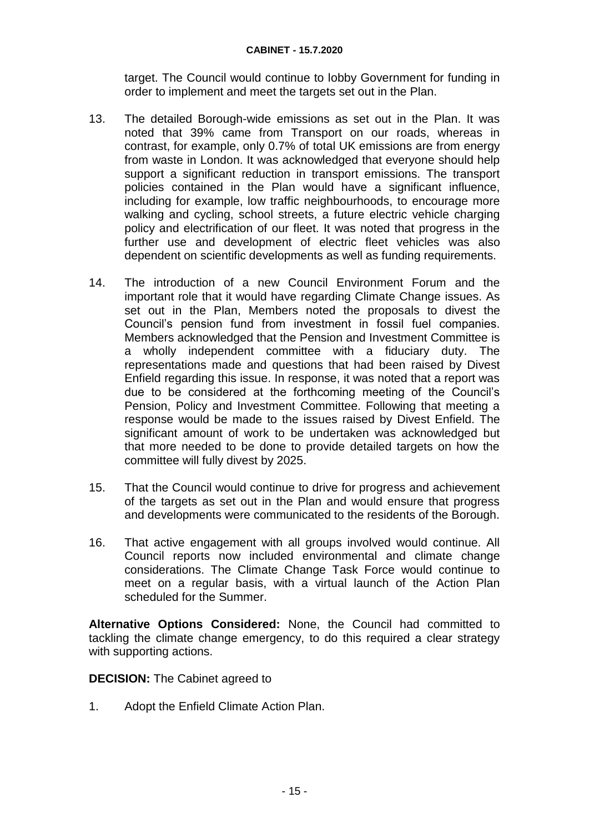target. The Council would continue to lobby Government for funding in order to implement and meet the targets set out in the Plan.

- 13. The detailed Borough-wide emissions as set out in the Plan. It was noted that 39% came from Transport on our roads, whereas in contrast, for example, only 0.7% of total UK emissions are from energy from waste in London. It was acknowledged that everyone should help support a significant reduction in transport emissions. The transport policies contained in the Plan would have a significant influence, including for example, low traffic neighbourhoods, to encourage more walking and cycling, school streets, a future electric vehicle charging policy and electrification of our fleet. It was noted that progress in the further use and development of electric fleet vehicles was also dependent on scientific developments as well as funding requirements.
- 14. The introduction of a new Council Environment Forum and the important role that it would have regarding Climate Change issues. As set out in the Plan, Members noted the proposals to divest the Council's pension fund from investment in fossil fuel companies. Members acknowledged that the Pension and Investment Committee is a wholly independent committee with a fiduciary duty. The representations made and questions that had been raised by Divest Enfield regarding this issue. In response, it was noted that a report was due to be considered at the forthcoming meeting of the Council's Pension, Policy and Investment Committee. Following that meeting a response would be made to the issues raised by Divest Enfield. The significant amount of work to be undertaken was acknowledged but that more needed to be done to provide detailed targets on how the committee will fully divest by 2025.
- 15. That the Council would continue to drive for progress and achievement of the targets as set out in the Plan and would ensure that progress and developments were communicated to the residents of the Borough.
- 16. That active engagement with all groups involved would continue. All Council reports now included environmental and climate change considerations. The Climate Change Task Force would continue to meet on a regular basis, with a virtual launch of the Action Plan scheduled for the Summer.

**Alternative Options Considered:** None, the Council had committed to tackling the climate change emergency, to do this required a clear strategy with supporting actions.

**DECISION:** The Cabinet agreed to

1. Adopt the Enfield Climate Action Plan.